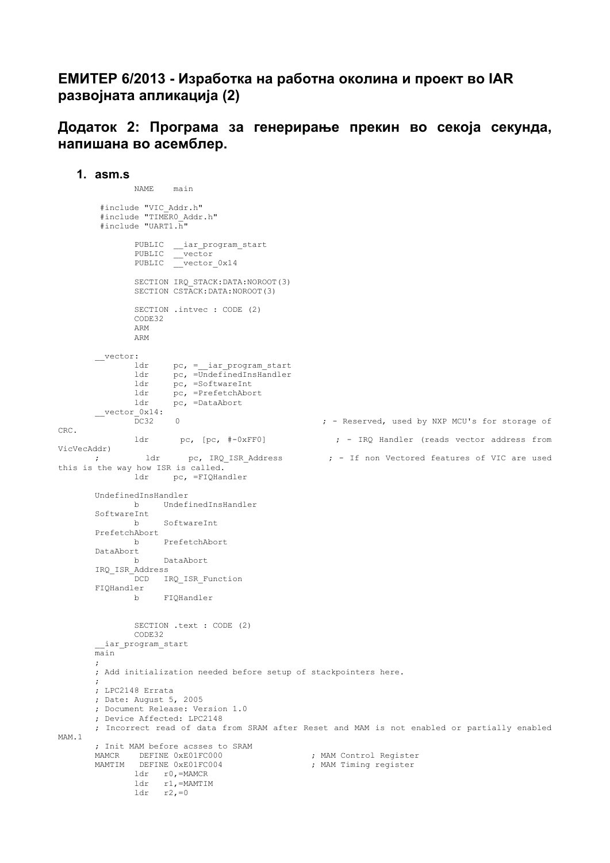## **ЕМИТЕР 6/2013 - Изработка на работна околина и проект во IAR развојната апликација (2)**

**Додаток 2: Програма за генерирање прекин во секоја секунда, напишана во асемблер.** 

**1. asm.s** 

```
 NAME main 
         #include "VIC_Addr.h" 
         #include "TIMER0_Addr.h" 
         #include "UART1.h" 
        PUBLIC __iar_program_start 
       PUBLIC vector
       PUBLIC vector 0x14
                SECTION IRQ_STACK:DATA:NOROOT(3) 
                SECTION CSTACK:DATA:NOROOT(3) 
               SECTION .intvec : CODE (2) 
                CODE32 
                ARM 
                ARM 
       _vector:<br>ldr
                     pc, = iar program start
        ldr pc, =UndefinedInsHandler 
        ldr pc, =SoftwareInt 
        ldr pc, =PrefetchAbort 
               ldr pc, =DataAbort 
       \frac{\text{vector}_0 x}{D C 32}0 \blacksquare : - Reserved, used by NXP MCU's for storage of
CRC. 
              ldr pc, [pc, #-0xFF0] ; - IRQ Handler (reads vector address from
VicVecAddr) 
      ; 1dr pc, IRQ_ISR_Address ; - If non Vectored features of VIC are used
this is the way how ISR is called.<br>ldr pc, =FIOHar
                     pc, =FIQHandler
       UndefinedInsHandler 
               b UndefinedInsHandler 
       SoftwareInt 
                    SoftwareInt
       PrefetchAbort 
                     b PrefetchAbort 
       DataAbort 
               b DataAbort 
       IRQ_ISR_Address 
              DCD IRQ ISR Function
       FIQHandler 
                   FIQHandler
               SECTION .text : CODE (2) 
               CODE32 
         iar program start
       \overline{m}in
       ; 
       ; Add initialization needed before setup of stackpointers here. 
       ; 
       ; LPC2148 Errata 
       ; Date: August 5, 2005 
       ; Document Release: Version 1.0 
       ; Device Affected: LPC2148 
       ; Incorrect read of data from SRAM after Reset and MAM is not enabled or partially enabled 
MAM.1 
       ; Init MAM before acsses to SRAM 
       MAMCR DEFINE 0xE01FC000 (and the control Register
       MAMTIM DEFINE 0xE01FC004 6 and its series of the series test that the product of the matrices of the matrices
                ldr r0,=MAMCR 
        ldr r1,=MAMTIM 
        ldr r2,=0
```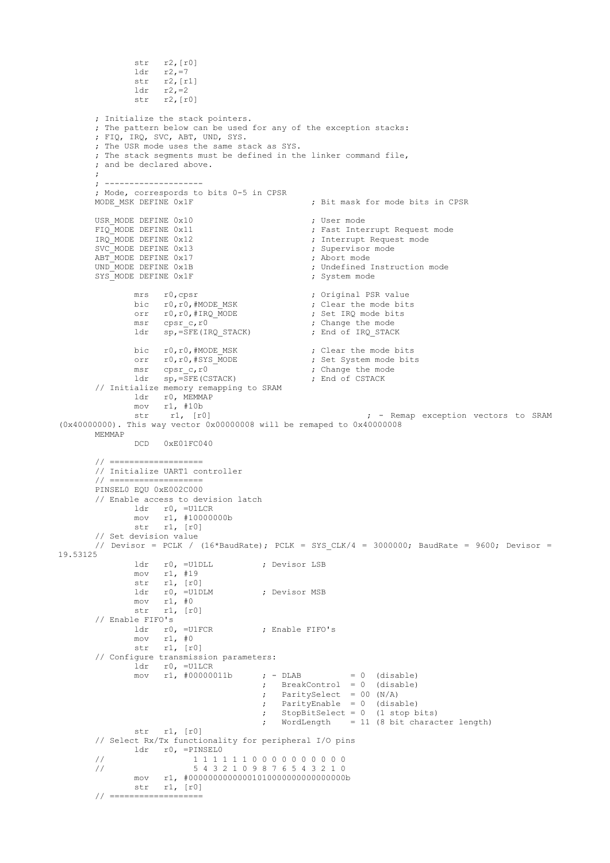```
 str r2,[r0] 
              ldr r2, = 7 str r2,[r1] 
        ldr r2,=2 
               str r2,[r0] 
       ; Initialize the stack pointers. 
       ; The pattern below can be used for any of the exception stacks: 
       ; FIQ, IRQ, SVC, ABT, UND, SYS. 
       ; The USR mode uses the same stack as SYS. 
       ; The stack segments must be defined in the linker command file, 
       ; and be declared above. 
       ; 
       ; -------------------- 
       ; Mode, correspords to bits 0-5 in CPSR 
                                                 ; Bit mask for mode bits in CPSR
       USR_MODE DEFINE 0x10<br>FIQ_MODE DEFINE 0x11 (Fast Inter
       FIQ_MODE DEFINE 0x11 \qquad \qquad ; Fast Interrupt Request mode<br>IRQ_MODE DEFINE 0x12 \qquad \qquad ; Interrupt Request mode
                                                ; Interrupt Request mode
       SVC_MODE DEFINE 0x13 ; Supervisor mode
       ABT_MODE DEFINE 0x17 <br>
UND MODE DEFINE 0x1B<br>
; Undefined :
                                                % Undefined Instruction mode<br>
System mode
       SYS MODE DEFINE 0x1Fmrs r0, cpsr <br>bic r0, r0, \#MODE MSK <br> \therefore \therefore Original PSR value
       bic r0,r0,#MODE MSK ; Clear the mode bits
       orr r0,r0,#IRQ MODE ; Set IRQ mode bits
              msr cpsr_c,r0 ; Change the mode<br>
1dr sp,=SFE(IRQ STACK) ; End of IRQ STACK
              ldr s_{P} = SFE(IRQ_STACK)bic r0,r0,#MODE_MSK ; Clear the mode bits<br>orr r0,r0,#SYS_MODE ; Set System mode bit.
              orr r0,r0,#SYS_MODE ; Set System mode bits<br>
msr cpsr_c,r0 ; Change the mode<br>
ldr sp,=SFE(CSTACK) ; End of CSTACK
       msr cpsrc,r0 \qquad \qquad ; Change the mode
        ldr sp,=SFE(CSTACK) ; End of CSTACK 
       // Initialize memory remapping to SRAM 
        ldr r0, MEMMAP 
        mov r1, #10b 
               str r1, [r0] ; - Remap exception vectors to SRAM 
(0x40000000). This way vector 0x00000008 will be remaped to 0x40000008 
       MEMMAP 
               DCD 0xE01FC040 
       // =================== 
       // Initialize UART1 controller 
       // =================== 
       PINSEL0 EQU 0xE002C000 
       // Enable access to devision latch 
               ldr r0, =U1LCR 
               mov r1, #10000000b 
              \frac{11}{11}, \frac{1100}{100}// Set devision value 
       // Devisor = PCLK / (16*BaudRate); PCLK = SYS CLK/4 = 3000000; BaudRate = 9600; Devisor =
19.53125 
               ldr r0, =U1DLL ; Devisor LSB 
               mov r1, #19 
        str r1, [r0] 
        ldr r0, =U1DLM ; Devisor MSB 
              mov r1, #0<br>str r1, [r0] str r1, [r0] 
       // Enable FIFO's 
              ldr r0, =U1FCR ; Enable FIFO's
               mov r1, #0 
              str r1, [r0]
       // Configure transmission parameters: 
              ldr r0, =U1LCR<br>mov r1, #00000011b\mathfrak{p} - DLAB = 0 (disable)
        ; BreakControl = 0 (disable) 
        ; ParitySelect = 00 (N/A) 
        ; ParityEnable = 0 (disable) 
        ; StopBitSelect = 0 (1 stop bits) 
                                        ; WordLength = 11 (8 bit character length) 
               str r1, [r0] 
       // Select Rx/Tx functionality for peripheral I/O pins 
        ldr r0, =PINSEL0 
       // 1 1 1 1 1 1 0 0 0 0 0 0 0 0 0 0 
       // 5 4 3 2 1 0 9 8 7 6 5 4 3 2 1 0 
        mov r1, #00000000000001010000000000000000b 
        str r1, [r0] 
       // ===================
```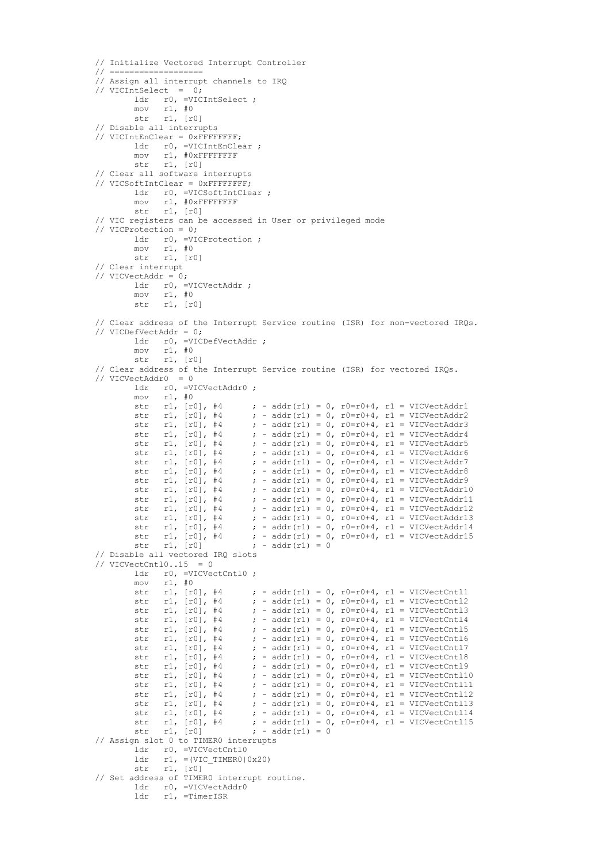```
// Initialize Vectored Interrupt Controller 
// =================== 
// Assign all interrupt channels to IRQ 
// VICIntSelect = 0; 
ldr r0, =VICIntSelect ;
 mov r1, #0 
 str r1, [r0] 
// Disable all interrupts 
// VICIntEnClear = 0xFFFFFFFF; 
          ldr r0, =VICIntEnClear ; 
 mov r1, #0xFFFFFFFF 
 str r1, [r0] 
// Clear all software interrupts 
// VICSoftIntClear = 0xFFFFFFFF; 
         ldr r0, =VICSoftIntClear;
          mov r1, #0xFFFFFFFF 
         str -1, [r0]// VIC registers can be accessed in User or privileged mode 
// VICProtection = 0; 
         ldr r0, =VICProtection;
 mov r1, #0 
 str r1, [r0] 
// Clear interrupt 
// VICVectAddr = 0; 
         ldr r0, =VICVectAddr;
 mov r1, #0 
 str r1, [r0] 
// Clear address of the Interrupt Service routine (ISR) for non-vectored IRQs. 
// VICDefVectAddr = 0; 
         ldr r0, =VICDefVectAddr :
          mov r1, #0 
          str r1, [r0] 
// Clear address of the Interrupt Service routine (ISR) for vectored IRQs. 
// VICVectAddr0 = 0 
         ldr r0, =VICVectAddr0 ;<br>mov r1, #0
                r1, #0<br>r1, [r0], #4
         str r1, [r0], #4 ; - addr(r1) = 0, r0=r0+4, r1 = VICVectAddr1
str r1, [r0], #4 ; - addr(r1) = 0, r0=r0+4, r1 = VICVectAddr2
str r1, [r0], #4 ; - addr(r1) = 0, r0=r0+4, r1 = VICVectAddr3
         str r1, \lceil r \rceil, \neq ; - addr(r1) = 0, r0=r0+4, r1 = VICVectAddr4<br>str r1, \lceil r \rceil, \neq ; - addr(r1) = 0, r0=r0+4, r1 = VICVectAddr5
         str r1, [r0], #4 ; - addr(r1) = 0, r0=r0+4, r1 = VICVectAddr5<br>str r1, [r0], #4 ; - addr(r1) = 0, r0=r0+4, r1 = VICVectAddr6
                                       s = addr(r1) = 0, r0=r0+4, r1 = VICVectAddr6str r1, [r0], \#4 ; - addr(r1) = 0, r0=r0+4, r1 = VICVectAddr7<br>str r1, [r0], \#4 ; - addr(r1) = 0, r0=r0+4, r1 = VICVectAddr8
          str r1, [r0], \#4 ; - addr(r1) = 0, r0=r0+4, r1 = VICVectAddr8<br>str r1, [r0], \#4 ; - addr(r1) = 0, r0=r0+4, r1 = VICVectAddr9
         str r1, [r0], \#4 ; - addr(r1) = 0, r0=r0+4, r1 = VICVectAddr1<br>str r1, [r0], \#4 ; - addr(r1) = 0, r0=r0+4, r1 = VICVectAddr1
str r1, [r0], #4 ; - addr(r1) = 0, r0=r0+4, r1 = VICVectAddr10
str r1, [r0], #4 ; - addr(r1) = 0, r0=r0+4, r1 = VICVectAddr11
          str r1, [r0], \#4 ; - addr(r1) = 0, r0=r0+4, r1 = VICVectAddr12<br>str r1, [r0], \#4 ; - addr(r1) = 0, r0=r0+4, r1 = VICVectAddr13
          str r1, [r0], \#4 ; - addr(r1) = 0, r0=r0+4, r1 = VICVectAddr13<br>str r1, [r0], \#4 ; - addr(r1) = 0, r0=r0+4, r1 = VICVectAddr14
         str r1, [r0], #4 ; - addr(r1) = 0, r0=r0+4, r1 = VICVectAddr14<br>str r1, [r0], #4 ; - addr(r1) = 0, r0=r0+4, r1 = VICVectAddr15
         str r1, [r0], #4 ; - addr(r1) = 0, r0=r0+4, r1 = VICVectAddr15<br>str r1, [r0] ; - addr(r1) = 0
                                       \int - addr(r1) = 0
// Disable all vectored IRQ slots 
// VICVectCntl0..15 = 0ldr r0, =VICVectCntl0 ;
         mov r1, #0<br>str r1, [r0], #4
         str r1, [r0], \#4 ; - addr(r1) = 0, r0=r0+4, r1 = VICVectCntl1<br>str r1, [r0], \#4 ; - addr(r1) = 0, r0=r0+4, r1 = VICVectCntl2
                 r1, [r0], #4 ; - addr(r1) = 0, r0=r0+4, r1 = VICVectCnt12<br>r1, [r0], #4 ; - addr(r1) = 0, r0=r0+4, r1 = VICVectCnt13str r1, [r0], #4 ; - addr(r1) = 0, r0=r0+4, r1 = VICVectCnt13
          str r1, [r0], #4 ; - addr(r1) = 0, r0=r0+4, r1 = VICVectCnt14
          str r1, [r0], \#4 ; - addr(r1) = 0, r0=r0+4, r1 = VICVectCnt15<br>str r1, [r0], \#4 ; - addr(r1) = 0, r0=r0+4, r1 = VICVectCnt16str r1, [r0], \#4 ; - addr(r1) = 0, r0=r0+4, r1 = VICVectCntl6<br>str r1, [r0], \#4 ; - addr(r1) = 0, r0=r0+4, r1 = VICVectCntl7
          str r1, [r0], \#4 ; - addr(r1) = 0, r0=r0+4, r1 = VICVectCntl7<br>str r1, [r0], \#4 ; - addr(r1) = 0, r0=r0+4, r1 = VICVectCntl8
str r1, [r0], #4 ; - addr(r1) = 0, r0=r0+4, r1 = VICVectCnt18
str r1, [r0], #4 ; - addr(r1) = 0, r0=r0+4, r1 = VICVectCnt19
         str r1, [r0], \#4 ; - addr(r1) = 0, r0=r0+4, r1 = VICVectCntl10<br>str r1, [r0], \#4 ; - addr(r1) = 0, r0=r0+4, r1 = VICVectCntl11
         str r1, [r0], #4 ; - addr(r1) = 0, r0=r0+4, r1 = VICVectCntl11
          str r1, [r0], #4 ; - addr(r1) = 0, r0=r0+4, r1 = VICVectCntl12
          str r1, [r0], \#4 ; - addr(r1) = 0, r0=r0+4, r1 = VICVectCnt113<br>str r1, [r0], \#4 ; - addr(r1) = 0, r0=r0+4, r1 = VICVectCnt114str r1, [r0], #4 ; - addr(r1) = 0, r0=r0+4, r1 = VICVectCntl14<br>str r1, [r0], #4 ; - addr(r1) = 0, r0=r0+4, r1 = VICVectCntl15
                                       \tau - addr(r1) = 0, r0=r0+4, r1 = VICVectCntl15
         str r1, [r0] ; - addr(r1) = 0
// Assign slot 0 to TIMER0 interrupts 
          ldr r0, =VICVectCnt10<br>ldr r1, =(VIC TIMER0)
                r1, =(VIC TIMER0|0x20)
         str r1, [r0]
// Set address of TIMER0 interrupt routine. 
           ldr r0, =VICVectAddr0 
           ldr r1, =TimerISR
```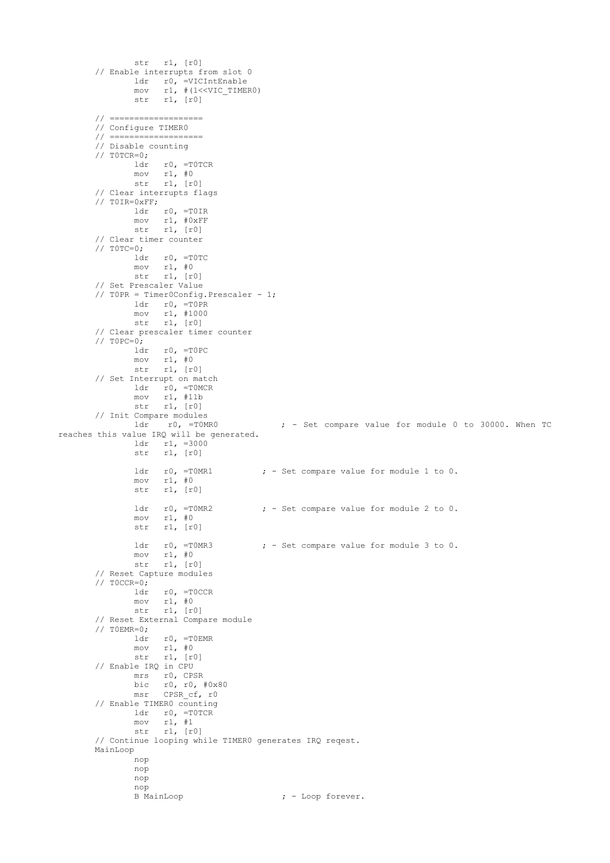```
 str r1, [r0] 
       // Enable interrupts from slot 0 
        ldr r0, =VICIntEnable 
        mov r1, #(1<<VIC_TIMER0) 
                str r1, [r0] 
       // =================== 
       // Configure TIMER0 
       // =================== 
       // Disable counting 
       \frac{7}{10} T0TCR=0;
                    r0, =T0TCR
        mov r1, #0 
        str r1, [r0] 
       // Clear interrupts flags 
       // T0IR=0xFF; 
               ldr r0, =T0IR 
        mov r1, #0xFF 
        str r1, [r0] 
       // Clear timer counter 
       // T0TC=0; 
               ldr r0, =T0TC 
        mov r1, #0 
        str r1, [r0] 
       // Set Prescaler Value 
       // T0PR = Timer0Config.Prescaler - 1; 
               ldr r0, =T0PR 
        mov r1, #1000 
        str r1, [r0] 
       // Clear prescaler timer counter 
       // TOPC=0; ldr r0, =T0PC 
               mov r1, #0 
               str r1, [r0] 
       // Set Interrupt on match 
              ldr r0, =T0MCR<br>mov r1, #11b
                    r1, #11b str r1, [r0] 
       // Init Compare modules 
              ldr r0, =T0MR0 ; - Set compare value for module 0 to 30000. When TC
reaches this value IRQ will be generated. 
        ldr r1, =3000 
        str r1, [r0] 
              ldr r0, =T0MR1 ; - Set compare value for module 1 to 0.<br>mov r1, #0
        mov r1, #0 
        str r1, [r0] 
              ldr r0, =T0MR2 ; - Set compare value for module 2 to 0.<br>mov r1, \#0mov r1, #0<br>str r1, frr1, [r0]
              ldr r0, =TOMR3 \qquad ; - Set compare value for module 3 to 0.
              mov r1, #0<br>str r1, [r(r1, [r0]
       // Reset Capture modules 
       // T0CCR=0; 
                    r0, =T0CCR
               mov r1, #0 
        str r1, [r0] 
       // Reset External Compare module 
       // TOEMR=0;<br>ldr
                    r0, =TOEMRmov r1, #0<br>str r1, [r(r1, [r0]
       // Enable IRQ in CPU 
              mrs r0, CPSR<br>bic r0, r0,
        bic r0, r0, #0x80 
        msr CPSR_cf, r0 
       // Enable TIMER0 counting 
               ldr r0, =T0TCR 
               mov r1, #1 
                str r1, [r0] 
       // Continue looping while TIMER0 generates IRQ reqest. 
       MainLoop 
               nop 
               nop 
               nop 
               nop<br>B MainLoop
                                            : - Loop forever.
```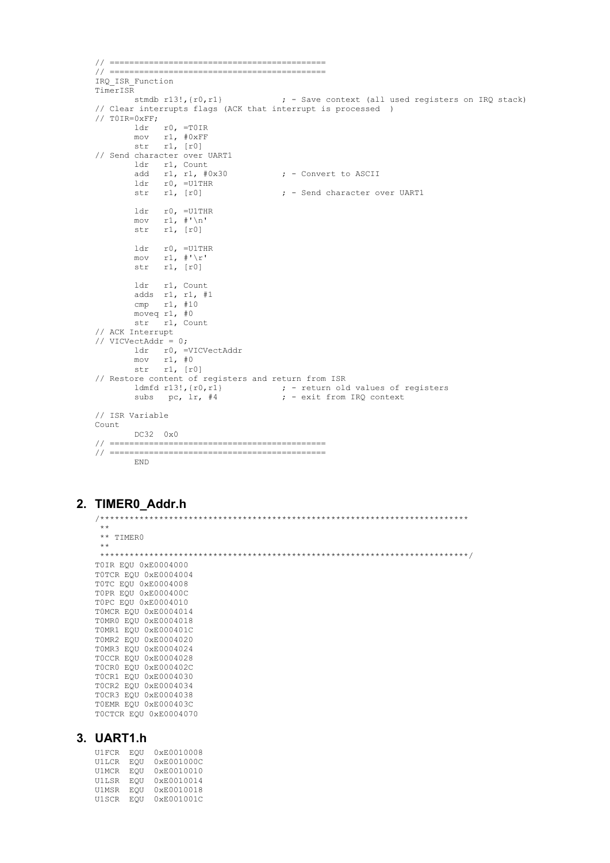```
// ============================================ 
// ============================================ 
IRQ_ISR_Function 
TimerISR 
        stmdb r13!,{r0,r1} ; - Save context (all used registers on IRQ stack) 
// Clear interrupts flags (ACK that interrupt is processed ) 
// T0IR=0xFF; 
 ldr r0, =T0IR 
 mov r1, #0xFF 
        str r1, [r0] 
// Send character over UART1 
       ldr r1, Count<br>add r1, r1, \#0x30add r1, r1, \#0x30 ; - Convert to ASCII<br>ldr r0. = U1THR
       ldr r0, =U1THR<br>str r1, [r0]\mu - Send character over UART1
        ldr r0, =U1THR 
 mov r1, #'\n' 
 str r1, [r0] 
 ldr r0, =U1THR 
mov r1, \#'\r'
        str r1, [r0] 
        ldr r1, Count 
        adds r1, r1, #1 
        cmp r1, #10 
        moveq r1, #0 
        str r1, Count 
// ACK Interrupt 
// VICVectAddr = 0;
 ldr r0, =VICVectAddr 
 mov r1, #0 
        str r1, [r0] 
// Restore content of registers and return from ISR 
ldmfd r13!, \{r0, r1\} ; - return old values of registers
subs pc, lr, #4 \qquad \qquad ; - exit from IRQ context
// ISR Variable 
Count 
        DC32 0x0 
// ============================================ 
// ============================================ 
        END
```
## **2. TIMER0\_Addr.h**

 \*\* \*\* TIMER0 \*\* \*\*\*\*\*\*\*\*\*\*\*\*\*\*\*\*\*\*\*\*\*\*\*\*\*\*\*\*\*\*\*\*\*\*\*\*\*\*\*\*\*\*\*\*\*\*\*\*\*\*\*\*\*\*\*\*\*\*\*\*\*\*\*\*\*\*\*\*\*\*\*\*\*\*\*/ T0IR EQU 0xE0004000 T0TCR EQU 0xE0004004 T0TC EQU 0xE0004008 T0PR EQU 0xE000400C T0PC EQU 0xE0004010 T0MCR EQU 0xE0004014 T0MR0 EQU 0xE0004018 T0MR1 EQU 0xE000401C T0MR2 EQU 0xE0004020 T0MR3 EQU 0xE0004024 T0CCR EQU 0xE0004028 T0CR0 EQU 0xE000402C T0CR1 EQU 0xE0004030 T0CR2 EQU 0xE0004034 T0CR3 EQU 0xE0004038 T0EMR EQU 0xE000403C T0CTCR EQU 0xE0004070

/\*\*\*\*\*\*\*\*\*\*\*\*\*\*\*\*\*\*\*\*\*\*\*\*\*\*\*\*\*\*\*\*\*\*\*\*\*\*\*\*\*\*\*\*\*\*\*\*\*\*\*\*\*\*\*\*\*\*\*\*\*\*\*\*\*\*\*\*\*\*\*\*\*\*\*

## **3. UART1.h**

| U1FCR        | EOU | 0xE0010008 |
|--------------|-----|------------|
| <b>U1LCR</b> | EOU | 0xE001000C |
| U1MCR        | EOU | 0xE0010010 |
| <b>U1LSR</b> | EOU | 0xE0010014 |
| U1MSR        | EOU | 0xE0010018 |
| U1SCR        | EOU | 0xE001001C |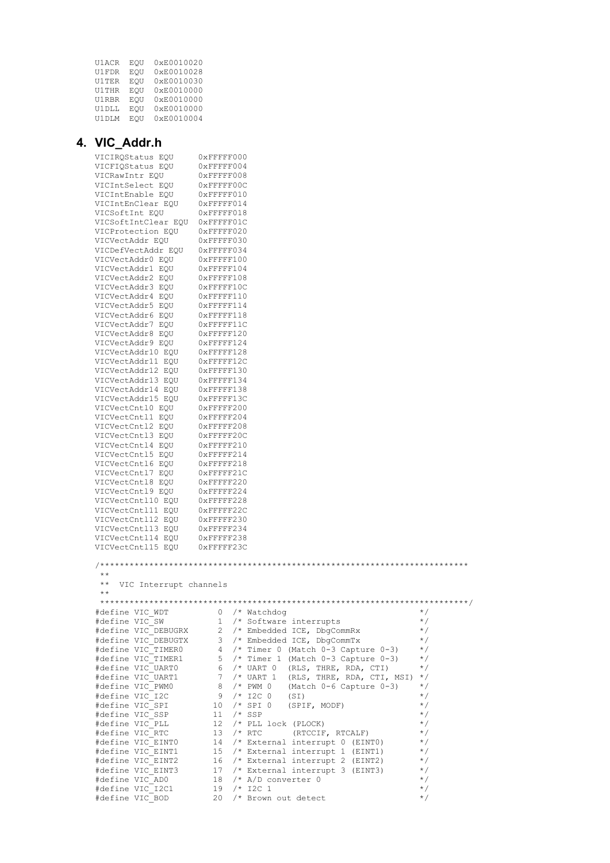| U1ACR        | EOU | 0xE0010020 |
|--------------|-----|------------|
| U1FDR        | EOU | 0xE0010028 |
| U1TER        | EOU | 0xE0010030 |
| <b>U1THR</b> | EOU | 0xE0010000 |
| <b>U1RBR</b> | EOU | 0xE0010000 |
| U1DLL        | EOU | 0xE0010000 |
| U1DLM        | EOU | 0xE0010004 |

## **4. VIC\_Addr.h**

| VIC_Addr.n                                                |                                                      |                      |
|-----------------------------------------------------------|------------------------------------------------------|----------------------|
| VICIRQStatus EQU                                          | $0x$ FFFFF000                                        |                      |
| VICFIQStatus EQU                                          | $0x$ FFFFF004                                        |                      |
| VICRawIntr EQU                                            | $0x$ FFFFF008                                        |                      |
| VICIntSelect EQU                                          | 0xFFFFF00C                                           |                      |
| VICIntEnable EQU                                          | $0x$ FFFFF010                                        |                      |
| VICIntEnClear EQU                                         | $0x$ FFFFF014                                        |                      |
| VICSoftInt EOU<br>VICSoftIntClear EQU 0xFFFFF01C          | $0x$ FFFFF018                                        |                      |
| VICProtection EQU                                         | $0x$ FFFFF020                                        |                      |
| VICVectAddr EQU                                           | $0x$ FFFFF030                                        |                      |
| VICDefVectAddr EOU                                        | $0x$ FFFFF034                                        |                      |
| VICVectAddr0 EOU                                          | $0x$ FFFFF100                                        |                      |
| VICVectAddr1 EQU                                          | $0x$ FFFFF104                                        |                      |
| VICVectAddr2 EQU                                          | $0x$ FFFFF108                                        |                      |
| VICVectAddr3 EQU                                          | 0xFFFFF10C                                           |                      |
| VICVectAddr4 EQU                                          | $0x$ FFFFF110                                        |                      |
| VICVectAddr5 EQU                                          | $0x$ FFFFF114                                        |                      |
| VICVectAddr6 EOU                                          | $0x$ FFFFF118                                        |                      |
| VICVectAddr7 EQU                                          | 0xFFFFF11C                                           |                      |
| VICVectAddr8 EQU                                          | $0x$ FFFFF120<br>$0x$ FFFFF124                       |                      |
| VICVectAddr9 EQU<br>VICVectAddr10 EQU                     | $0x$ FFFFF128                                        |                      |
| VICVectAddr11 EQU                                         | 0xFFFFF12C                                           |                      |
| VICVectAddr12 EQU                                         | $0x$ FFFFF130                                        |                      |
| VICVectAddr13 EQU                                         | $0x$ FFFFF134                                        |                      |
| VICVectAddr14 EQU                                         | $0x$ FFFFF138                                        |                      |
| VICVectAddr15 EQU                                         | 0xFFFFF13C                                           |                      |
| VICVectCnt10 EQU                                          | $0x$ FFFFF200                                        |                      |
| VICVectCntl1 EQU                                          | $0x$ FFFFF204                                        |                      |
| VICVectCntl2 EQU                                          | $0x$ FFFFF208                                        |                      |
| VICVectCntl3 EQU                                          | 0xFFFFF20C                                           |                      |
| VICVectCnt14 EQU                                          | $0x$ FFFFF210                                        |                      |
| VICVectCnt15 EQU                                          | $0x$ FFFFF214                                        |                      |
| VICVectCnt16 EQU                                          | $0x$ FFFFF218<br>0xFFFFF21C                          |                      |
| VICVectCntl7 EQU<br>VICVectCnt18 EQU                      | $0x$ FFFFF220                                        |                      |
| VICVectCnt19 EQU                                          | $0x$ FFFFF224                                        |                      |
| VICVectCntl10 EQU                                         | $0x$ FFFFF228                                        |                      |
| VICVectCntl11 EQU                                         | 0xFFFFF22C                                           |                      |
| VICVectCntl12 EQU                                         | $0x$ FFFFF230                                        |                      |
| VICVectCnt113 EQU                                         | $0x$ FFFFF234                                        |                      |
| VICVectCntl14 EQU                                         | $0x$ FFFFF238                                        |                      |
| VICVectCntl15 EQU                                         | 0xFFFFF23C                                           |                      |
| $\star$ $\star$<br>$\star\star$<br>VIC Interrupt channels |                                                      |                      |
| $\star$ $\star$                                           |                                                      |                      |
|                                                           |                                                      |                      |
| #define VIC WDT                                           | $0$ /* Watchdog                                      | $\star/$             |
| #define VIC SW                                            | 1 /* Software interrupts                             | $\star/$             |
| #define VIC DEBUGRX                                       | 2 /* Embedded ICE, DbgCommRx                         | $^*/$                |
| #define VIC DEBUGTX                                       | 3 /* Embedded ICE, DbgCommTx                         | $\star/$             |
| #define VIC TIMERO                                        | $4$ /* Timer 0 (Match 0-3 Capture 0-3)               | $\star/$             |
| #define VIC TIMER1                                        | $5$ /* Timer 1 (Match 0-3 Capture 0-3)               | $\star/$             |
| #define VIC UARTO                                         | $6$ /* UART 0 (RLS, THRE, RDA, CTI)                  | $\star/$             |
| #define VIC UART1<br>#define VIC PWM0                     | 7 /* UART 1 (RLS, THRE, RDA, CTI, MSI)<br>8 /* PWM 0 | $\star/$<br>$\star/$ |
| #define VIC I2C                                           | (Match $0-6$ Capture $0-3$ )<br>9 /* I2C 0<br>(SI)   | $\star/$             |
| #define VIC SPI                                           | $10$ /* SPI 0<br>(SPIF, MODF)                        | $\star/$             |
| #define VIC SSP                                           | $11 / *$ SSP                                         | $\star/$             |
| #define VIC PLL                                           | 12 <sup>°</sup><br>$/*$ PLL lock (PLOCK)             | $\star/$             |
| #define VIC RTC                                           | $/$ * RTC<br>13<br>(RTCCIF, RTCALF)                  | $\star/$             |
| #define VIC EINTO                                         | 14 /* External interrupt 0 (EINT0)                   | $\star/$             |
| #define VIC EINT1                                         | 15 /* External interrupt 1 (EINT1)                   | $\star/$             |
| #define VIC EINT2                                         | 16 /* External interrupt 2 (EINT2)                   | $\star/$             |
| #define VIC EINT3                                         | 17 /* External interrupt 3 (EINT3)                   | $\star/$             |
| #define VIC AD0                                           | 18 /* A/D converter 0                                | $\star/$             |
| #define VIC I2C1                                          | $19 / * 12C 1$                                       | $\star/$             |
| #define VIC BOD                                           | 20 /* Brown out detect                               | $\star/$             |